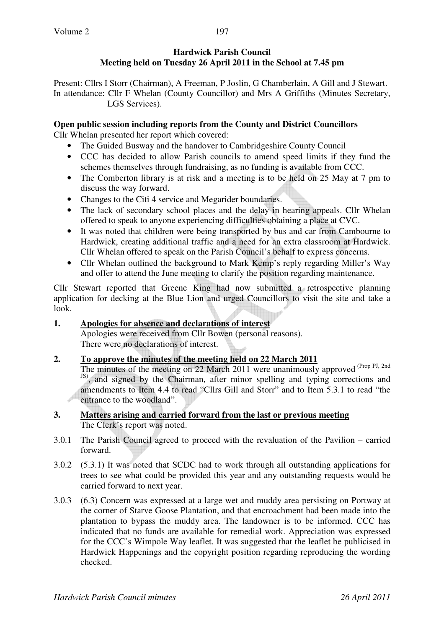## **Hardwick Parish Council Meeting held on Tuesday 26 April 2011 in the School at 7.45 pm**

Present: Cllrs I Storr (Chairman), A Freeman, P Joslin, G Chamberlain, A Gill and J Stewart. In attendance: Cllr F Whelan (County Councillor) and Mrs A Griffiths (Minutes Secretary, LGS Services).

#### **Open public session including reports from the County and District Councillors**

Cllr Whelan presented her report which covered:

- The Guided Busway and the handover to Cambridgeshire County Council
- CCC has decided to allow Parish councils to amend speed limits if they fund the schemes themselves through fundraising, as no funding is available from CCC.
- The Comberton library is at risk and a meeting is to be held on 25 May at 7 pm to discuss the way forward.
- Changes to the Citi 4 service and Megarider boundaries.
- The lack of secondary school places and the delay in hearing appeals. Cllr Whelan offered to speak to anyone experiencing difficulties obtaining a place at CVC.
- It was noted that children were being transported by bus and car from Cambourne to Hardwick, creating additional traffic and a need for an extra classroom at Hardwick. Cllr Whelan offered to speak on the Parish Council's behalf to express concerns.
- Cllr Whelan outlined the background to Mark Kemp's reply regarding Miller's Way and offer to attend the June meeting to clarify the position regarding maintenance.

Cllr Stewart reported that Greene King had now submitted a retrospective planning application for decking at the Blue Lion and urged Councillors to visit the site and take a look.

# **1. Apologies for absence and declarations of interest**

 Apologies were received from Cllr Bowen (personal reasons). There were no declarations of interest.

#### **2. To approve the minutes of the meeting held on 22 March 2011**

The minutes of the meeting on 22 March 2011 were unanimously approved (Prop PJ, 2nd) <sup>JS)</sup>, and signed by the Chairman, after minor spelling and typing corrections and amendments to Item 4.4 to read "Cllrs Gill and Storr" and to Item 5.3.1 to read "the entrance to the woodland".

#### **3. Matters arising and carried forward from the last or previous meeting**  The Clerk's report was noted.

- 3.0.1 The Parish Council agreed to proceed with the revaluation of the Pavilion carried forward.
- 3.0.2 (5.3.1) It was noted that SCDC had to work through all outstanding applications for trees to see what could be provided this year and any outstanding requests would be carried forward to next year.
- 3.0.3 (6.3) Concern was expressed at a large wet and muddy area persisting on Portway at the corner of Starve Goose Plantation, and that encroachment had been made into the plantation to bypass the muddy area. The landowner is to be informed. CCC has indicated that no funds are available for remedial work. Appreciation was expressed for the CCC's Wimpole Way leaflet. It was suggested that the leaflet be publicised in Hardwick Happenings and the copyright position regarding reproducing the wording checked.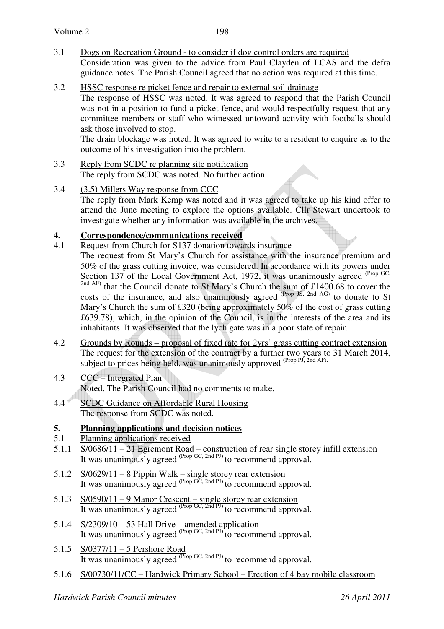- 3.1 Dogs on Recreation Ground to consider if dog control orders are required Consideration was given to the advice from Paul Clayden of LCAS and the defra guidance notes. The Parish Council agreed that no action was required at this time.
- 3.2 HSSC response re picket fence and repair to external soil drainage

The response of HSSC was noted. It was agreed to respond that the Parish Council was not in a position to fund a picket fence, and would respectfully request that any committee members or staff who witnessed untoward activity with footballs should ask those involved to stop.

The drain blockage was noted. It was agreed to write to a resident to enquire as to the outcome of his investigation into the problem.

 $\bigoplus$ 

- 3.3 Reply from SCDC re planning site notification The reply from SCDC was noted. No further action.
- 3.4 (3.5) Millers Way response from CCC The reply from Mark Kemp was noted and it was agreed to take up his kind offer to attend the June meeting to explore the options available. Cllr Stewart undertook to investigate whether any information was available in the archives.

# **4. Correspondence/communications received**<br>4.1 Request from Church for S137 donation towa

- Request from Church for S137 donation towards insurance
	- The request from St Mary's Church for assistance with the insurance premium and 50% of the grass cutting invoice, was considered. In accordance with its powers under Section 137 of the Local Government Act, 1972, it was unanimously agreed <sup>(Prop GC,</sup> <sup>2nd AF)</sup> that the Council donate to St Mary's Church the sum of £1400.68 to cover the costs of the insurance, and also unanimously agreed (Prop JS, 2nd AG) to donate to St Mary's Church the sum of £320 (being approximately 50% of the cost of grass cutting £639.78), which, in the opinion of the Council, is in the interests of the area and its inhabitants. It was observed that the lych gate was in a poor state of repair.
- 4.2 Grounds by Rounds proposal of fixed rate for 2yrs' grass cutting contract extension The request for the extension of the contract by a further two years to 31 March 2014, subject to prices being held, was unanimously approved  $P_{\text{top}}$   $\text{P1, 2nd AF}$ .
- 4.3 CCC Integrated Plan Noted. The Parish Council had no comments to make.
- 4.4 SCDC Guidance on Affordable Rural Housing The response from SCDC was noted.

#### **5. Planning applications and decision notices**

#### 5.1 Planning applications received

- 5.1.1 S/0686/11 21 Egremont Road construction of rear single storey infill extension It was unanimously agreed  $^{(Prop \, GC, 2nd \, PJ)}$  to recommend approval.
- 5.1.2 S/0629/11 8 Pippin Walk single storey rear extension It was unanimously agreed  $^{(Prop G\bar{C}, 2nd PJ)}$  to recommend approval.
- 5.1.3 S/0590/11 9 Manor Crescent single storey rear extension It was unanimously agreed  $^{(Prop \, GC, 2nd \, PJ)}$  to recommend approval.
- 5.1.4  $S/2309/10 53$  Hall Drive amended application It was unanimously agreed  $^{(Prop \, GC, 2nd \, PJ)}$  to recommend approval.
- 5.1.5 <u>S/0377/11 5 Pershore Road</u> It was unanimously agreed  $^{(Prop \, GC, 2nd \, PJ)}$  to recommend approval.
- 5.1.6 S/00730/11/CC Hardwick Primary School Erection of 4 bay mobile classroom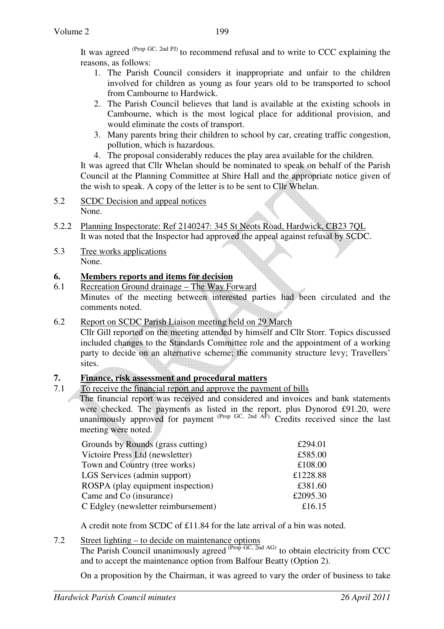It was agreed <sup>(Prop GC, 2nd PJ)</sup> to recommend refusal and to write to CCC explaining the reasons, as follows:

- 1. The Parish Council considers it inappropriate and unfair to the children involved for children as young as four years old to be transported to school from Cambourne to Hardwick.
- 2. The Parish Council believes that land is available at the existing schools in Cambourne, which is the most logical place for additional provision, and would eliminate the costs of transport.
- 3. Many parents bring their children to school by car, creating traffic congestion, pollution, which is hazardous.
- 4. The proposal considerably reduces the play area available for the children.

It was agreed that Cllr Whelan should be nominated to speak on behalf of the Parish Council at the Planning Committee at Shire Hall and the appropriate notice given of the wish to speak. A copy of the letter is to be sent to Cllr Whelan.

- 5.2 SCDC Decision and appeal notices None.
- 5.2.2 Planning Inspectorate: Ref 2140247: 345 St Neots Road, Hardwick, CB23 7QL It was noted that the Inspector had approved the appeal against refusal by SCDC.
- 5.3 Tree works applications None.

### **6. Members reports and items for decision**

6.1 Recreation Ground drainage – The Way Forward Minutes of the meeting between interested parties had been circulated and the comments noted.

#### 6.2 Report on SCDC Parish Liaison meeting held on 29 March

 Cllr Gill reported on the meeting attended by himself and Cllr Storr. Topics discussed included changes to the Standards Committee role and the appointment of a working party to decide on an alternative scheme; the community structure levy; Travellers' sites.

## **7. Finance, risk assessment and procedural matters**

7.1 To receive the financial report and approve the payment of bills

The financial report was received and considered and invoices and bank statements were checked. The payments as listed in the report, plus Dynorod £91.20, were unanimously approved for payment  $P_{\text{rop}}$  GC, 2nd AF). Credits received since the last meeting were noted.

| Grounds by Rounds (grass cutting)   | £294.01  |
|-------------------------------------|----------|
| Victoire Press Ltd (newsletter)     | £585.00  |
| Town and Country (tree works)       | £108.00  |
| LGS Services (admin support)        | £1228.88 |
| ROSPA (play equipment inspection)   | £381.60  |
| Came and Co (insurance)             | £2095.30 |
| C Edgley (newsletter reimbursement) | £16.15   |
|                                     |          |

A credit note from SCDC of £11.84 for the late arrival of a bin was noted.

#### 7.2 Street lighting – to decide on maintenance options

The Parish Council unanimously agreed  $(\text{Prop }GC, \text{2nd }AG)$  to obtain electricity from CCC and to accept the maintenance option from Balfour Beatty (Option 2).

On a proposition by the Chairman, it was agreed to vary the order of business to take